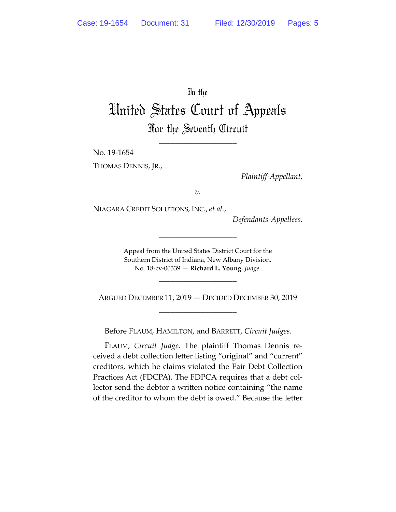In the

## United States Court of Appeals For the Seventh Circuit

\_\_\_\_\_\_\_\_\_\_\_\_\_\_\_\_\_\_\_\_

No. 19-1654

THOMAS DENNIS, JR.,

*Plaintiff-Appellant*,

*v.*

NIAGARA CREDIT SOLUTIONS, INC., *et al.*,

*Defendants-Appellees*.

Appeal from the United States District Court for the Southern District of Indiana, New Albany Division. No. 18-cv-00339 — **Richard L. Young**, *Judge*.

\_\_\_\_\_\_\_\_\_\_\_\_\_\_\_\_\_\_\_\_

\_\_\_\_\_\_\_\_\_\_\_\_\_\_\_\_\_\_\_\_

ARGUED DECEMBER 11, 2019 — DECIDED DECEMBER 30, 2019 \_\_\_\_\_\_\_\_\_\_\_\_\_\_\_\_\_\_\_\_

Before FLAUM, HAMILTON, and BARRETT, *Circuit Judges*.

FLAUM, *Circuit Judge*. The plaintiff Thomas Dennis received a debt collection letter listing "original" and "current" creditors, which he claims violated the Fair Debt Collection Practices Act (FDCPA). The FDPCA requires that a debt collector send the debtor a written notice containing "the name of the creditor to whom the debt is owed." Because the letter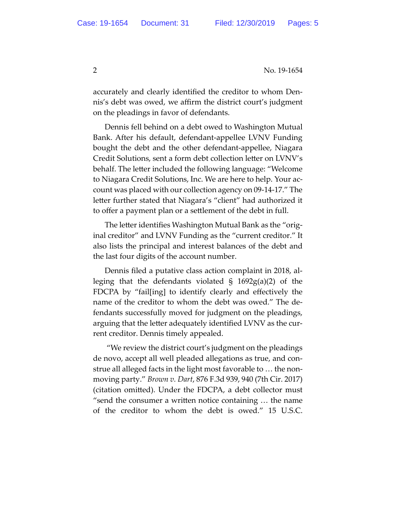2 No. 19-1654

accurately and clearly identified the creditor to whom Dennis's debt was owed, we affirm the district court's judgment on the pleadings in favor of defendants.

Dennis fell behind on a debt owed to Washington Mutual Bank. After his default, defendant-appellee LVNV Funding bought the debt and the other defendant-appellee, Niagara Credit Solutions, sent a form debt collection letter on LVNV's behalf. The letter included the following language: "Welcome to Niagara Credit Solutions, Inc. We are here to help. Your account was placed with our collection agency on 09-14-17." The letter further stated that Niagara's "client" had authorized it to offer a payment plan or a settlement of the debt in full.

The letter identifies Washington Mutual Bank as the "original creditor" and LVNV Funding as the "current creditor." It also lists the principal and interest balances of the debt and the last four digits of the account number.

Dennis filed a putative class action complaint in 2018, alleging that the defendants violated  $\S$  1692g(a)(2) of the FDCPA by "fail[ing] to identify clearly and effectively the name of the creditor to whom the debt was owed." The defendants successfully moved for judgment on the pleadings, arguing that the letter adequately identified LVNV as the current creditor. Dennis timely appealed.

"We review the district court's judgment on the pleadings de novo, accept all well pleaded allegations as true, and construe all alleged facts in the light most favorable to … the nonmoving party." *Brown v. Dart*, 876 F.3d 939, 940 (7th Cir. 2017) (citation omitted). Under the FDCPA, a debt collector must "send the consumer a written notice containing … the name of the creditor to whom the debt is owed." 15 U.S.C.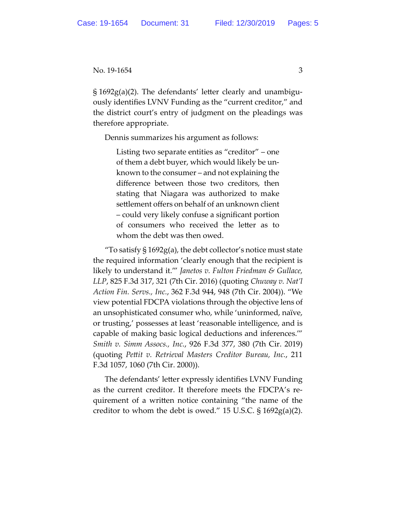No. 19-1654 3

§ 1692g(a)(2). The defendants' letter clearly and unambiguously identifies LVNV Funding as the "current creditor," and the district court's entry of judgment on the pleadings was therefore appropriate.

Dennis summarizes his argument as follows:

Listing two separate entities as "creditor" – one of them a debt buyer, which would likely be unknown to the consumer – and not explaining the difference between those two creditors, then stating that Niagara was authorized to make settlement offers on behalf of an unknown client – could very likely confuse a significant portion of consumers who received the letter as to whom the debt was then owed.

"To satisfy  $\S 1692g(a)$ , the debt collector's notice must state the required information 'clearly enough that the recipient is likely to understand it.'" *Janetos v. Fulton Friedman & Gullace, LLP*, 825 F.3d 317, 321 (7th Cir. 2016) (quoting *Chuway v. Nat'l Action Fin. Servs., Inc.*, 362 F.3d 944, 948 (7th Cir. 2004)). "We view potential FDCPA violations through the objective lens of an unsophisticated consumer who, while 'uninformed, naïve, or trusting,' possesses at least 'reasonable intelligence, and is capable of making basic logical deductions and inferences.'" *Smith v. Simm Assocs., Inc.*, 926 F.3d 377, 380 (7th Cir. 2019) (quoting *Pettit v. Retrieval Masters Creditor Bureau, Inc.*, 211 F.3d 1057, 1060 (7th Cir. 2000)).

The defendants' letter expressly identifies LVNV Funding as the current creditor. It therefore meets the FDCPA's requirement of a written notice containing "the name of the creditor to whom the debt is owed." 15 U.S.C.  $\S 1692g(a)(2)$ .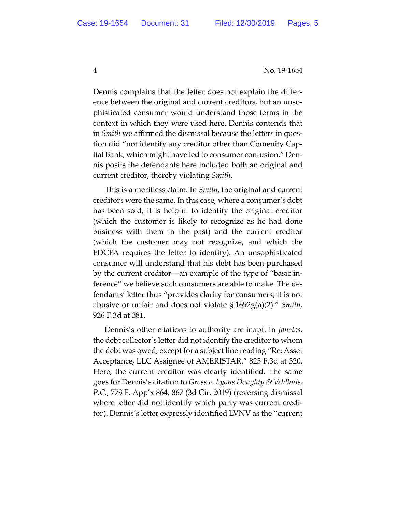4 No. 19-1654

Dennis complains that the letter does not explain the difference between the original and current creditors, but an unsophisticated consumer would understand those terms in the context in which they were used here. Dennis contends that in *Smith* we affirmed the dismissal because the letters in question did "not identify any creditor other than Comenity Capital Bank, which might have led to consumer confusion." Dennis posits the defendants here included both an original and current creditor, thereby violating *Smith*.

This is a meritless claim. In *Smith*, the original and current creditors were the same. In this case, where a consumer's debt has been sold, it is helpful to identify the original creditor (which the customer is likely to recognize as he had done business with them in the past) and the current creditor (which the customer may not recognize, and which the FDCPA requires the letter to identify). An unsophisticated consumer will understand that his debt has been purchased by the current creditor––an example of the type of "basic inference" we believe such consumers are able to make. The defendants' letter thus "provides clarity for consumers; it is not abusive or unfair and does not violate § 1692g(a)(2)." *Smith*, 926 F.3d at 381.

Dennis's other citations to authority are inapt. In *Janetos*, the debt collector's letter did not identify the creditor to whom the debt was owed, except for a subject line reading "Re: Asset Acceptance, LLC Assignee of AMERISTAR." 825 F.3d at 320. Here, the current creditor was clearly identified. The same goes for Dennis's citation to *Gross v. Lyons Doughty & Veldhuis, P.C.*, 779 F. App'x 864, 867 (3d Cir. 2019) (reversing dismissal where letter did not identify which party was current creditor). Dennis's letter expressly identified LVNV as the "current